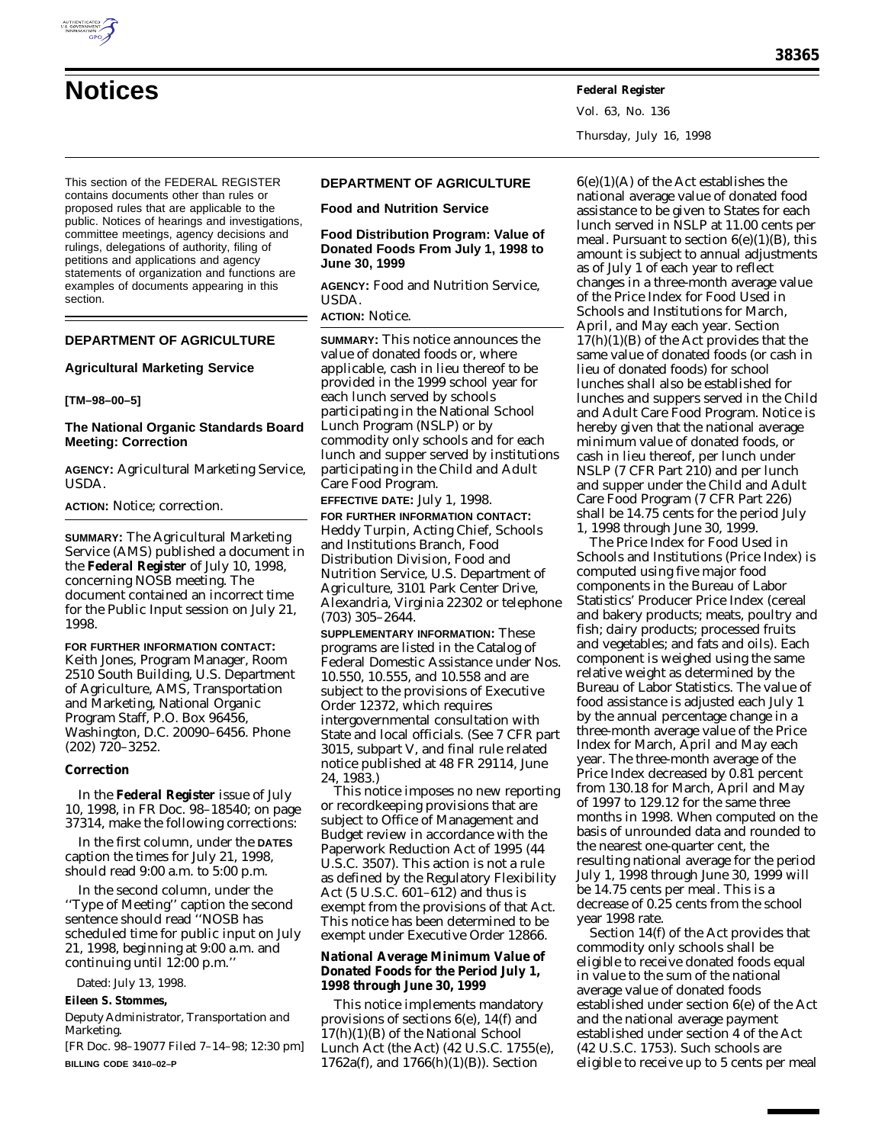

Vol. 63, No. 136 Thursday, July 16, 1998

This section of the FEDERAL REGISTER contains documents other than rules or proposed rules that are applicable to the public. Notices of hearings and investigations, committee meetings, agency decisions and rulings, delegations of authority, filing of petitions and applications and agency statements of organization and functions are examples of documents appearing in this section.

# **DEPARTMENT OF AGRICULTURE**

### **Agricultural Marketing Service**

### **[TM–98–00–5]**

# **The National Organic Standards Board Meeting: Correction**

**AGENCY:** Agricultural Marketing Service, USDA.

**ACTION:** Notice; correction.

**SUMMARY:** The Agricultural Marketing Service (AMS) published a document in the **Federal Register** of July 10, 1998, concerning NOSB meeting. The document contained an incorrect time for the Public Input session on July 21, 1998.

**FOR FURTHER INFORMATION CONTACT:** Keith Jones, Program Manager, Room 2510 South Building, U.S. Department of Agriculture, AMS, Transportation and Marketing, National Organic Program Staff, P.O. Box 96456, Washington, D.C. 20090–6456. Phone (202) 720–3252.

### **Correction**

In the **Federal Register** issue of July 10, 1998, in FR Doc. 98–18540; on page 37314, make the following corrections:

In the first column, under the **DATES** caption the times for July 21, 1998, should read 9:00 a.m. to 5:00 p.m.

In the second column, under the ''Type of Meeting'' caption the second sentence should read ''NOSB has scheduled time for public input on July 21, 1998, beginning at 9:00 a.m. and continuing until 12:00 p.m.''

Dated: July 13, 1998.

# **Eileen S. Stommes,**

*Deputy Administrator, Transportation and Marketing.*

[FR Doc. 98–19077 Filed 7–14–98; 12:30 pm] **BILLING CODE 3410–02–P**

# **DEPARTMENT OF AGRICULTURE**

**Food and Nutrition Service**

**Food Distribution Program: Value of Donated Foods From July 1, 1998 to June 30, 1999**

**AGENCY:** Food and Nutrition Service, USDA.

**ACTION:** Notice.

**SUMMARY:** This notice announces the value of donated foods or, where applicable, cash in lieu thereof to be provided in the 1999 school year for each lunch served by schools participating in the National School Lunch Program (NSLP) or by commodity only schools and for each lunch and supper served by institutions participating in the Child and Adult Care Food Program.

**EFFECTIVE DATE:** July 1, 1998.

**FOR FURTHER INFORMATION CONTACT:** Heddy Turpin, Acting Chief, Schools and Institutions Branch, Food Distribution Division, Food and Nutrition Service, U.S. Department of Agriculture, 3101 Park Center Drive, Alexandria, Virginia 22302 or telephone (703) 305–2644.

**SUPPLEMENTARY INFORMATION:** These programs are listed in the Catalog of Federal Domestic Assistance under Nos. 10.550, 10.555, and 10.558 and are subject to the provisions of Executive Order 12372, which requires intergovernmental consultation with State and local officials. (See 7 CFR part 3015, subpart V, and final rule related notice published at 48 FR 29114, June 24, 1983.)

This notice imposes no new reporting or recordkeeping provisions that are subject to Office of Management and Budget review in accordance with the Paperwork Reduction Act of 1995 (44 U.S.C. 3507). This action is not a rule as defined by the Regulatory Flexibility Act (5 U.S.C. 601–612) and thus is exempt from the provisions of that Act. This notice has been determined to be exempt under Executive Order 12866.

## **National Average Minimum Value of Donated Foods for the Period July 1, 1998 through June 30, 1999**

This notice implements mandatory provisions of sections 6(e), 14(f) and 17(h)(1)(B) of the National School Lunch Act (the Act) (42 U.S.C. 1755(e), 1762a(f), and 1766(h)(1)(B)). Section

 $6(e)(1)(A)$  of the Act establishes the national average value of donated food assistance to be given to States for each lunch served in NSLP at 11.00 cents per meal. Pursuant to section  $6(e)(1)(B)$ , this amount is subject to annual adjustments as of July 1 of each year to reflect changes in a three-month average value of the Price Index for Food Used in Schools and Institutions for March, April, and May each year. Section 17(h)(1)(B) of the Act provides that the same value of donated foods (or cash in lieu of donated foods) for school lunches shall also be established for lunches and suppers served in the Child and Adult Care Food Program. Notice is hereby given that the national average minimum value of donated foods, or cash in lieu thereof, per lunch under NSLP (7 CFR Part 210) and per lunch and supper under the Child and Adult Care Food Program (7 CFR Part 226) shall be 14.75 cents for the period July 1, 1998 through June 30, 1999.

The Price Index for Food Used in Schools and Institutions (Price Index) is computed using five major food components in the Bureau of Labor Statistics' Producer Price Index (cereal and bakery products; meats, poultry and fish; dairy products; processed fruits and vegetables; and fats and oils). Each component is weighed using the same relative weight as determined by the Bureau of Labor Statistics. The value of food assistance is adjusted each July 1 by the annual percentage change in a three-month average value of the Price Index for March, April and May each year. The three-month average of the Price Index decreased by 0.81 percent from 130.18 for March, April and May of 1997 to 129.12 for the same three months in 1998. When computed on the basis of unrounded data and rounded to the nearest one-quarter cent, the resulting national average for the period July 1, 1998 through June 30, 1999 will be 14.75 cents per meal. This is a decrease of 0.25 cents from the school year 1998 rate.

Section 14(f) of the Act provides that commodity only schools shall be eligible to receive donated foods equal in value to the sum of the national average value of donated foods established under section 6(e) of the Act and the national average payment established under section 4 of the Act (42 U.S.C. 1753). Such schools are eligible to receive up to 5 cents per meal